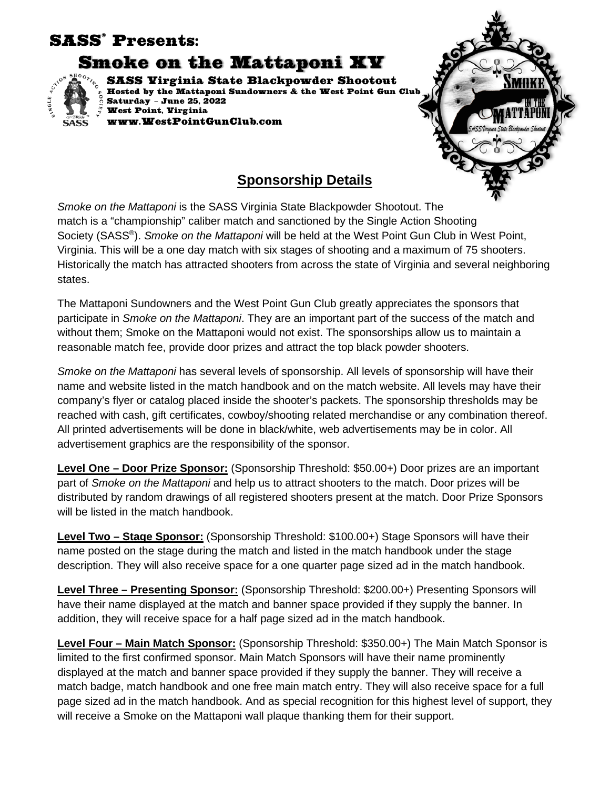## SASS® Presents:

Smoke on the Mattaponi XV



SASS Virginia State Blackpowder Shootout Hosted by the Mattaponi Sundowners & the West Point Gun Club Saturday – June 25, 2022 West Point, Virginia www.WestPointGunClub.com



## **Sponsorship Details**

*Smoke on the Mattaponi* is the SASS Virginia State Blackpowder Shootout. The match is a "championship" caliber match and sanctioned by the Single Action Shooting Society (SASS®). *Smoke on the Mattaponi* will be held at the West Point Gun Club in West Point, Virginia. This will be a one day match with six stages of shooting and a maximum of 75 shooters. Historically the match has attracted shooters from across the state of Virginia and several neighboring states.

The Mattaponi Sundowners and the West Point Gun Club greatly appreciates the sponsors that participate in *Smoke on the Mattaponi*. They are an important part of the success of the match and without them; Smoke on the Mattaponi would not exist. The sponsorships allow us to maintain a reasonable match fee, provide door prizes and attract the top black powder shooters.

*Smoke on the Mattaponi* has several levels of sponsorship. All levels of sponsorship will have their name and website listed in the match handbook and on the match website. All levels may have their company's flyer or catalog placed inside the shooter's packets. The sponsorship thresholds may be reached with cash, gift certificates, cowboy/shooting related merchandise or any combination thereof. All printed advertisements will be done in black/white, web advertisements may be in color. All advertisement graphics are the responsibility of the sponsor.

**Level One – Door Prize Sponsor:** (Sponsorship Threshold: \$50.00+) Door prizes are an important part of *Smoke on the Mattaponi* and help us to attract shooters to the match. Door prizes will be distributed by random drawings of all registered shooters present at the match. Door Prize Sponsors will be listed in the match handbook.

**Level Two – Stage Sponsor:** (Sponsorship Threshold: \$100.00+) Stage Sponsors will have their name posted on the stage during the match and listed in the match handbook under the stage description. They will also receive space for a one quarter page sized ad in the match handbook.

**Level Three – Presenting Sponsor:** (Sponsorship Threshold: \$200.00+) Presenting Sponsors will have their name displayed at the match and banner space provided if they supply the banner. In addition, they will receive space for a half page sized ad in the match handbook.

**Level Four – Main Match Sponsor:** (Sponsorship Threshold: \$350.00+) The Main Match Sponsor is limited to the first confirmed sponsor. Main Match Sponsors will have their name prominently displayed at the match and banner space provided if they supply the banner. They will receive a match badge, match handbook and one free main match entry. They will also receive space for a full page sized ad in the match handbook. And as special recognition for this highest level of support, they will receive a Smoke on the Mattaponi wall plaque thanking them for their support.